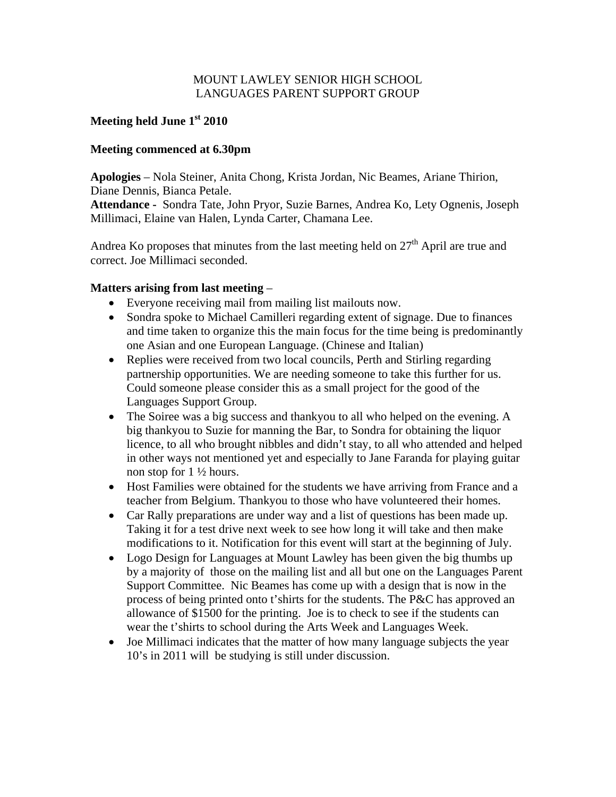## MOUNT LAWLEY SENIOR HIGH SCHOOL LANGUAGES PARENT SUPPORT GROUP

# **Meeting held June 1st 2010**

### **Meeting commenced at 6.30pm**

**Apologies** – Nola Steiner, Anita Chong, Krista Jordan, Nic Beames, Ariane Thirion, Diane Dennis, Bianca Petale.

**Attendance -** Sondra Tate, John Pryor, Suzie Barnes, Andrea Ko, Lety Ognenis, Joseph Millimaci, Elaine van Halen, Lynda Carter, Chamana Lee.

Andrea Ko proposes that minutes from the last meeting held on  $27<sup>th</sup>$  April are true and correct. Joe Millimaci seconded.

### **Matters arising from last meeting** –

- Everyone receiving mail from mailing list mailouts now.
- Sondra spoke to Michael Camilleri regarding extent of signage. Due to finances and time taken to organize this the main focus for the time being is predominantly one Asian and one European Language. (Chinese and Italian)
- Replies were received from two local councils, Perth and Stirling regarding partnership opportunities. We are needing someone to take this further for us. Could someone please consider this as a small project for the good of the Languages Support Group.
- The Soiree was a big success and thankyou to all who helped on the evening. A big thankyou to Suzie for manning the Bar, to Sondra for obtaining the liquor licence, to all who brought nibbles and didn't stay, to all who attended and helped in other ways not mentioned yet and especially to Jane Faranda for playing guitar non stop for 1 ½ hours.
- Host Families were obtained for the students we have arriving from France and a teacher from Belgium. Thankyou to those who have volunteered their homes.
- Car Rally preparations are under way and a list of questions has been made up. Taking it for a test drive next week to see how long it will take and then make modifications to it. Notification for this event will start at the beginning of July.
- Logo Design for Languages at Mount Lawley has been given the big thumbs up by a majority of those on the mailing list and all but one on the Languages Parent Support Committee. Nic Beames has come up with a design that is now in the process of being printed onto t'shirts for the students. The P&C has approved an allowance of \$1500 for the printing. Joe is to check to see if the students can wear the t'shirts to school during the Arts Week and Languages Week.
- Joe Millimaci indicates that the matter of how many language subjects the year 10's in 2011 will be studying is still under discussion.